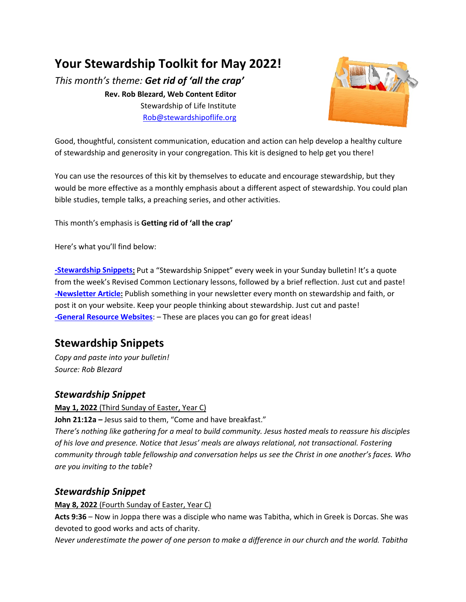## **Your Stewardship Toolkit for May 2022!**

*This month's theme: Get rid of 'all the crap'* **Rev. Rob Blezard, Web Content Editor** Stewardship of Life Institute [Rob@stewardshipoflife.org](mailto:Rob@stewardshipoflife.org)



Good, thoughtful, consistent communication, education and action can help develop a healthy culture of stewardship and generosity in your congregation. This kit is designed to help get you there!

You can use the resources of this kit by themselves to educate and encourage stewardship, but they would be more effective as a monthly emphasis about a different aspect of stewardship. You could plan bible studies, temple talks, a preaching series, and other activities.

This month's emphasis is **Getting rid of 'all the crap'**

Here's what you'll find below:

**[-Stewardship Snippets:](#page-0-0)** Put a "Stewardship Snippet" every week in your Sunday bulletin! It's a quote from the week's Revised Common Lectionary lessons, followed by a brief reflection. Just cut and paste! **[-Newsletter Article:](#page-0-1)** Publish something in your newsletter every month on stewardship and faith, or post it on your website. Keep your people thinking about stewardship. Just cut and paste! **-General Resource Websites**: – These are places you can go for great ideas!

## <span id="page-0-0"></span>**Stewardship Snippets**

*Copy and paste into your bulletin! Source: Rob Blezard*

## <span id="page-0-1"></span>*Stewardship Snippet*

**May 1, 2022** (Third Sunday of Easter, Year C)

**John 21:12a –** Jesus said to them, "Come and have breakfast."

*There's nothing like gathering for a meal to build community. Jesus hosted meals to reassure his disciples of his love and presence. Notice that Jesus' meals are always relational, not transactional. Fostering community through table fellowship and conversation helps us see the Christ in one another's faces. Who are you inviting to the table*?

## *Stewardship Snippet*

#### **May 8, 2022** (Fourth Sunday of Easter, Year C)

**Acts 9:36** – Now in Joppa there was a disciple who name was Tabitha, which in Greek is Dorcas. She was devoted to good works and acts of charity.

*Never underestimate the power of one person to make a difference in our church and the world. Tabitha*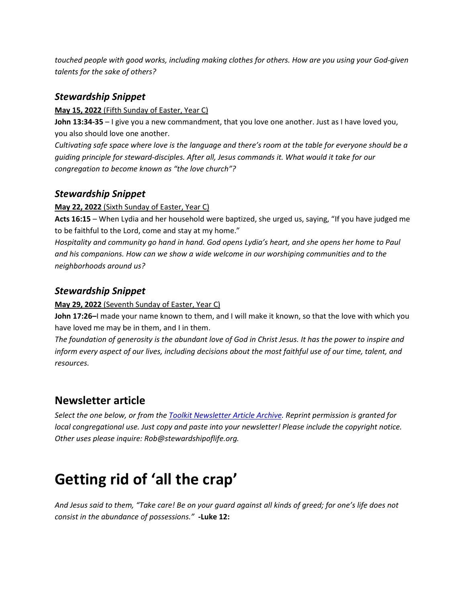*touched people with good works, including making clothes for others. How are you using your God-given talents for the sake of others?*

## *Stewardship Snippet*

#### **May 15, 2022** (Fifth Sunday of Easter, Year C)

**John 13:34-35** – I give you a new commandment, that you love one another. Just as I have loved you, you also should love one another.

*Cultivating safe space where love is the language and there's room at the table for everyone should be a guiding principle for steward-disciples. After all, Jesus commands it. What would it take for our congregation to become known as "the love church"?*

## *Stewardship Snippet*

#### **May 22, 2022** (Sixth Sunday of Easter, Year C)

**Acts 16:15** – When Lydia and her household were baptized, she urged us, saying, "If you have judged me to be faithful to the Lord, come and stay at my home."

*Hospitality and community go hand in hand. God opens Lydia's heart, and she opens her home to Paul and his companions. How can we show a wide welcome in our worshiping communities and to the neighborhoods around us?*

## *Stewardship Snippet*

#### **May 29, 2022** (Seventh Sunday of Easter, Year C)

**John 17:26–**I made your name known to them, and I will make it known, so that the love with which you have loved me may be in them, and I in them.

*The foundation of generosity is the abundant love of God in Christ Jesus. It has the power to inspire and inform every aspect of our lives, including decisions about the most faithful use of our time, talent, and resources.*

## **Newsletter article**

*Select the one below, or from the Toolkit [Newsletter Article Archive.](https://thestewardshipguy.com/newsletter-articles/) Reprint permission is granted for local congregational use. Just copy and paste into your newsletter! Please include the copyright notice. Other uses please inquire: Rob@stewardshipoflife.org.* 

# **Getting rid of 'all the crap'**

*And Jesus said to them, "Take care! Be on your guard against all kinds of greed; for one's life does not consist in the abundance of possessions."* **-Luke 12:**